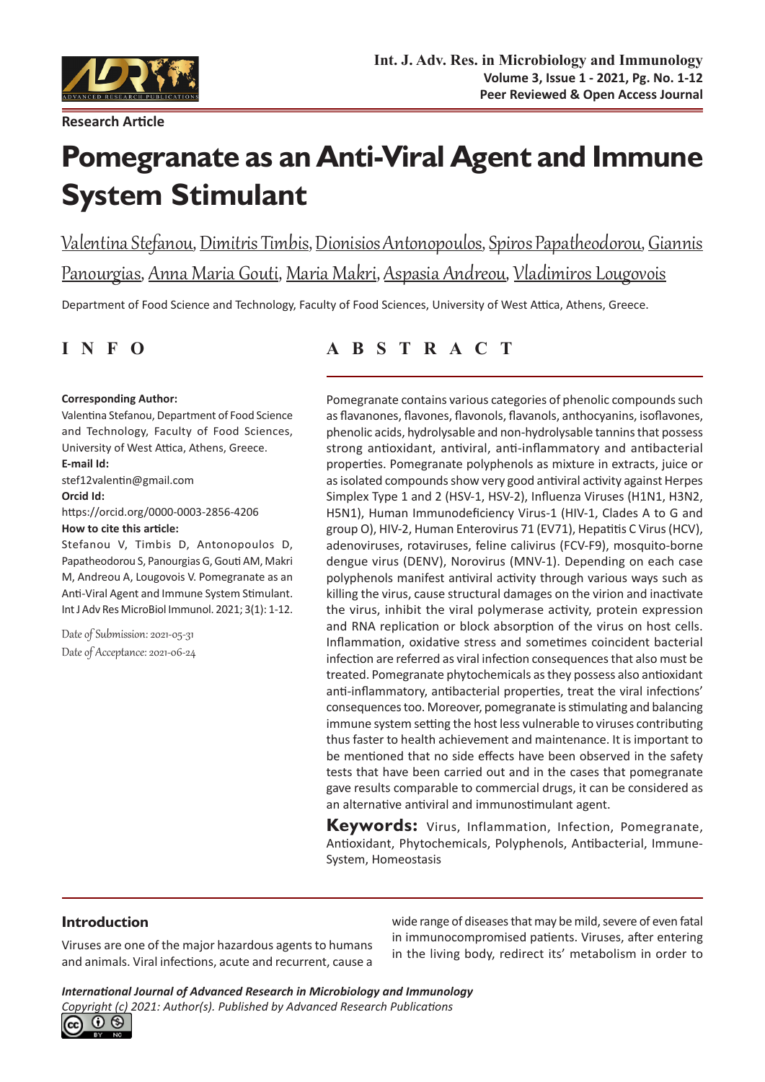

**Research Article**

# **Pomegranate as an Anti-Viral Agent and Immune System Stimulant**

Valentina Stefanou, Dimitris Timbis, Dionisios Antonopoulos, Spiros Papatheodorou, Giannis Panourgias, Anna Maria Gouti, Maria Makri, Aspasia Andreou, Vladimiros Lougovois

Department of Food Science and Technology, Faculty of Food Sciences, University of West Attica, Athens, Greece.

#### **Corresponding Author:**

Valentina Stefanou, Department of Food Science and Technology, Faculty of Food Sciences, University of West Attica, Athens, Greece. **E-mail Id:** stef12valentin@gmail.com **Orcid Id:** https://orcid.org/0000-0003-2856-4206 **How to cite this article:**

Stefanou V, Timbis D, Antonopoulos D, Papatheodorou S, Panourgias G, Gouti AM, Makri M, Andreou A, Lougovois V. Pomegranate as an Anti-Viral Agent and Immune System Stimulant. Int J Adv Res MicroBiol Immunol. 2021; 3(1): 1-12.

Date of Submission: 2021-05-31 Date of Acceptance: 2021-06-24

## **INFO ABSTRACT**

Pomegranate contains various categories of phenolic compounds such as flavanones, flavones, flavonols, flavanols, anthocyanins, isoflavones, phenolic acids, hydrolysable and non-hydrolysable tannins that possess strong antioxidant, antiviral, anti-inflammatory and antibacterial properties. Pomegranate polyphenols as mixture in extracts, juice or as isolated compounds show very good antiviral activity against Herpes Simplex Type 1 and 2 (HSV-1, HSV-2), Influenza Viruses (H1N1, H3N2, H5N1), Human Immunodeficiency Virus-1 (HIV-1, Clades A to G and group O), HIV-2, Human Enterovirus 71 (EV71), Hepatitis C Virus (HCV), adenoviruses, rotaviruses, feline calivirus (FCV-F9), mosquito-borne dengue virus (DENV), Norovirus (MNV-1). Depending on each case polyphenols manifest antiviral activity through various ways such as killing the virus, cause structural damages on the virion and inactivate the virus, inhibit the viral polymerase activity, protein expression and RNA replication or block absorption of the virus on host cells. Inflammation, oxidative stress and sometimes coincident bacterial infection are referred as viral infection consequences that also must be treated. Pomegranate phytochemicals as they possess also antioxidant anti-inflammatory, antibacterial properties, treat the viral infections' consequences too. Moreover, pomegranate is stimulating and balancing immune system setting the host less vulnerable to viruses contributing thus faster to health achievement and maintenance. It is important to be mentioned that no side effects have been observed in the safety tests that have been carried out and in the cases that pomegranate gave results comparable to commercial drugs, it can be considered as an alternative antiviral and immunostimulant agent.

**Keywords:** Virus, Inflammation, Infection, Pomegranate, Antioxidant, Phytochemicals, Polyphenols, Antibacterial, Immune-System, Homeostasis

### **Introduction**

Viruses are one of the major hazardous agents to humans and animals. Viral infections, acute and recurrent, cause a wide range of diseases that may be mild, severe of even fatal in immunocompromised patients. Viruses, after entering in the living body, redirect its' metabolism in order to

*International Journal of Advanced Research in Microbiology and Immunology Copyright (c) 2021: Author(s). Published by [Advanced Research Publications](http://advancedresearchpublications.com/)*

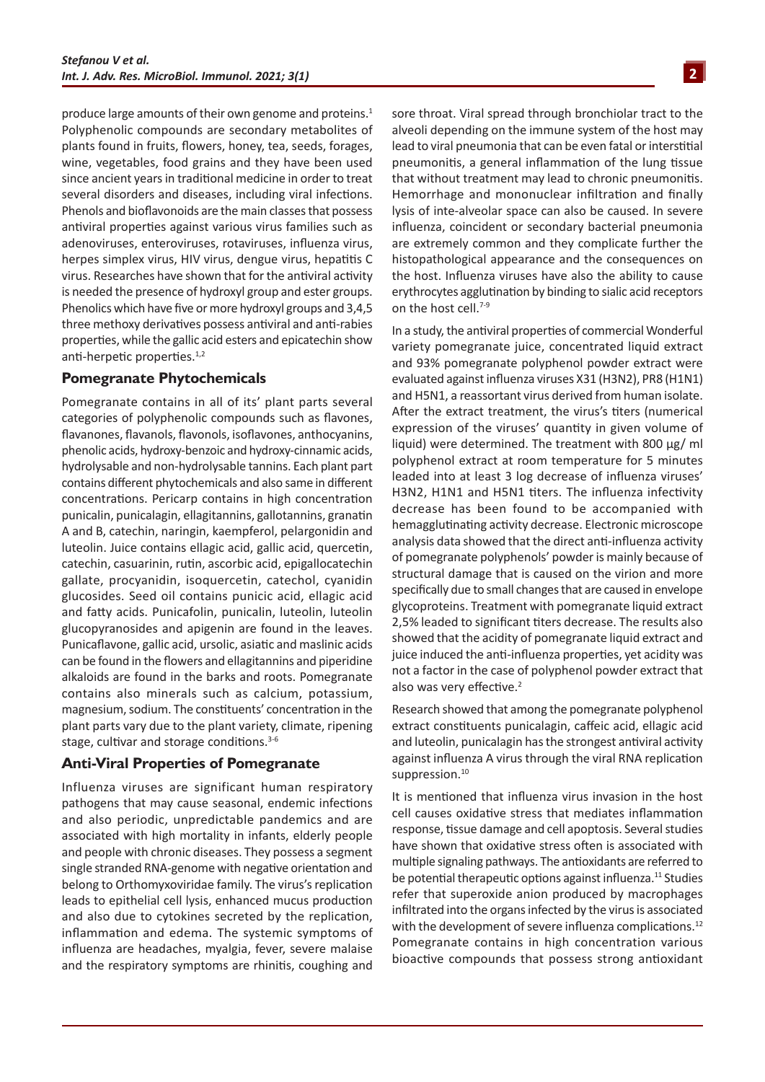produce large amounts of their own genome and proteins.<sup>1</sup> Polyphenolic compounds are secondary metabolites of plants found in fruits, flowers, honey, tea, seeds, forages, wine, vegetables, food grains and they have been used since ancient years in traditional medicine in order to treat several disorders and diseases, including viral infections. Phenols and bioflavonoids are the main classes that possess antiviral properties against various virus families such as adenoviruses, enteroviruses, rotaviruses, influenza virus, herpes simplex virus, HIV virus, dengue virus, hepatitis C virus. Researches have shown that for the antiviral activity is needed the presence of hydroxyl group and ester groups. Phenolics which have five or more hydroxyl groups and 3,4,5 three methoxy derivatives possess antiviral and anti-rabies properties, while the gallic acid esters and epicatechin show anti-herpetic properties.<sup>1,2</sup>

#### **Pomegranate Phytochemicals**

Pomegranate contains in all of its' plant parts several categories of polyphenolic compounds such as flavones, flavanones, flavanols, flavonols, isoflavones, anthocyanins, phenolic acids, hydroxy-benzoic and hydroxy-cinnamic acids, hydrolysable and non-hydrolysable tannins. Each plant part contains different phytochemicals and also same in different concentrations. Pericarp contains in high concentration punicalin, punicalagin, ellagitannins, gallotannins, granatin A and B, catechin, naringin, kaempferol, pelargonidin and luteolin. Juice contains ellagic acid, gallic acid, quercetin, catechin, casuarinin, rutin, ascorbic acid, epigallocatechin gallate, procyanidin, isoquercetin, catechol, cyanidin glucosides. Seed oil contains punicic acid, ellagic acid and fatty acids. Punicafolin, punicalin, luteolin, luteolin glucopyranosides and apigenin are found in the leaves. Punicaflavone, gallic acid, ursolic, asiatic and maslinic acids can be found in the flowers and ellagitannins and piperidine alkaloids are found in the barks and roots. Pomegranate contains also minerals such as calcium, potassium, magnesium, sodium. The constituents' concentration in the plant parts vary due to the plant variety, climate, ripening stage, cultivar and storage conditions.<sup>3-6</sup>

#### **Anti-Viral Properties of Pomegranate**

Influenza viruses are significant human respiratory pathogens that may cause seasonal, endemic infections and also periodic, unpredictable pandemics and are associated with high mortality in infants, elderly people and people with chronic diseases. They possess a segment single stranded RNA-genome with negative orientation and belong to Orthomyxoviridae family. The virus's replication leads to epithelial cell lysis, enhanced mucus production and also due to cytokines secreted by the replication, inflammation and edema. The systemic symptoms of influenza are headaches, myalgia, fever, severe malaise and the respiratory symptoms are rhinitis, coughing and sore throat. Viral spread through bronchiolar tract to the alveoli depending on the immune system of the host may lead to viral pneumonia that can be even fatal or interstitial pneumonitis, a general inflammation of the lung tissue that without treatment may lead to chronic pneumonitis. Hemorrhage and mononuclear infiltration and finally lysis of inte-alveolar space can also be caused. In severe influenza, coincident or secondary bacterial pneumonia are extremely common and they complicate further the histopathological appearance and the consequences on the host. Influenza viruses have also the ability to cause erythrocytes agglutination by binding to sialic acid receptors on the host cell.<sup>7-9</sup>

In a study, the antiviral properties of commercial Wonderful variety pomegranate juice, concentrated liquid extract and 93% pomegranate polyphenol powder extract were evaluated against influenza viruses X31 (H3N2), PR8 (H1N1) and H5N1, a reassortant virus derived from human isolate. After the extract treatment, the virus's titers (numerical expression of the viruses' quantity in given volume of liquid) were determined. The treatment with 800 μg/ ml polyphenol extract at room temperature for 5 minutes leaded into at least 3 log decrease of influenza viruses' H3N2, H1N1 and H5N1 titers. The influenza infectivity decrease has been found to be accompanied with hemagglutinating activity decrease. Electronic microscope analysis data showed that the direct anti-influenza activity of pomegranate polyphenols' powder is mainly because of structural damage that is caused on the virion and more specifically due to small changes that are caused in envelope glycoproteins. Treatment with pomegranate liquid extract 2,5% leaded to significant titers decrease. The results also showed that the acidity of pomegranate liquid extract and juice induced the anti-influenza properties, yet acidity was not a factor in the case of polyphenol powder extract that also was very effective.<sup>2</sup>

Research showed that among the pomegranate polyphenol extract constituents punicalagin, caffeic acid, ellagic acid and luteolin, punicalagin has the strongest antiviral activity against influenza A virus through the viral RNA replication suppression.<sup>10</sup>

It is mentioned that influenza virus invasion in the host cell causes oxidative stress that mediates inflammation response, tissue damage and cell apoptosis. Several studies have shown that oxidative stress often is associated with multiple signaling pathways. The antioxidants are referred to be potential therapeutic options against influenza.<sup>11</sup> Studies refer that superoxide anion produced by macrophages infiltrated into the organs infected by the virus is associated with the development of severe influenza complications.<sup>12</sup> Pomegranate contains in high concentration various bioactive compounds that possess strong antioxidant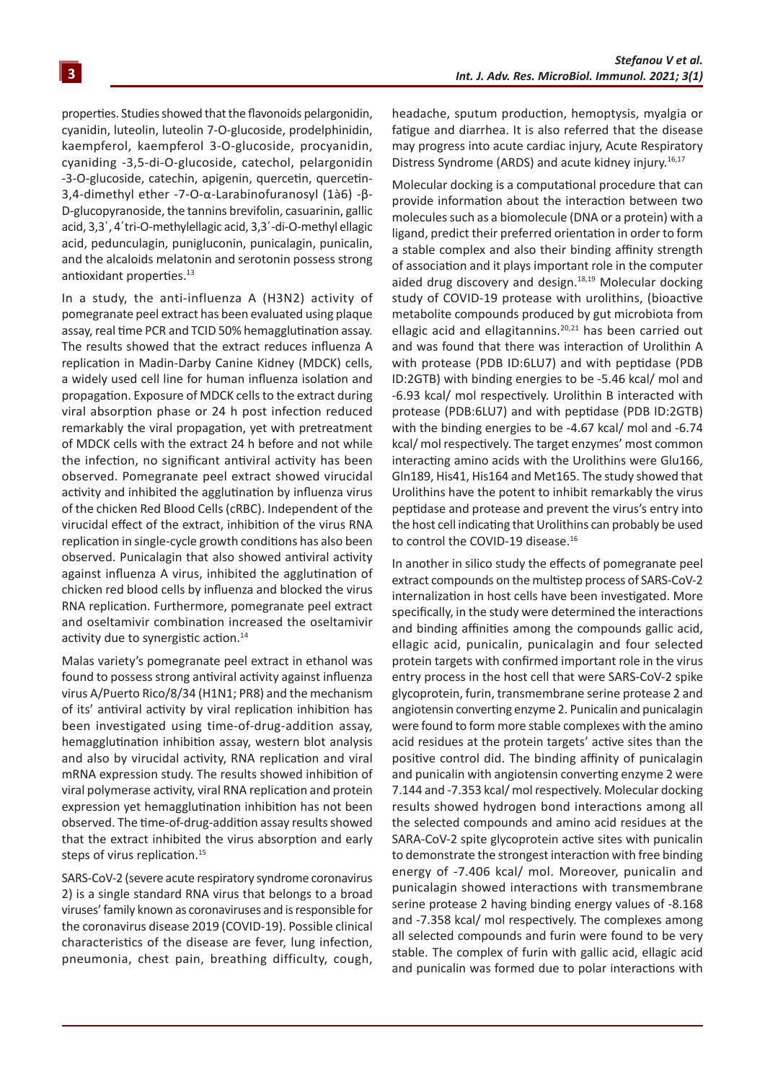properties. Studies showed that the flavonoids pelargonidin, cyanidin, luteolin, luteolin 7-O-glucoside, prodelphinidin, kaempferol, kaempferol 3-O-glucoside, procyanidin, cyaniding -3,5-di-O-glucoside, catechol, pelargonidin -3-O-glucoside, catechin, apigenin, quercetin, quercetin-3,4-dimethyl ether -7-O-α-Larabinofuranosyl (1à6) -β-D-glucopyranoside, the tannins brevifolin, casuarinin, gallic acid, 3,3΄, 4΄tri-O-methylellagic acid, 3,3΄-di-O-methyl ellagic acid, pedunculagin, punigluconin, punicalagin, punicalin, and the alcaloids melatonin and serotonin possess strong antioxidant properties.<sup>13</sup>

In a study, the anti-influenza A (H3N2) activity of pomegranate peel extract has been evaluated using plaque assay, real time PCR and TCID 50% hemagglutination assay. The results showed that the extract reduces influenza A replication in Madin-Darby Canine Kidney (MDCK) cells, a widely used cell line for human influenza isolation and propagation. Exposure of MDCK cells to the extract during viral absorption phase or 24 h post infection reduced remarkably the viral propagation, yet with pretreatment of MDCK cells with the extract 24 h before and not while the infection, no significant antiviral activity has been observed. Pomegranate peel extract showed virucidal activity and inhibited the agglutination by influenza virus of the chicken Red Blood Cells (cRBC). Independent of the virucidal effect of the extract, inhibition of the virus RNA replication in single-cycle growth conditions has also been observed. Punicalagin that also showed antiviral activity against influenza A virus, inhibited the agglutination of chicken red blood cells by influenza and blocked the virus RNA replication. Furthermore, pomegranate peel extract and oseltamivir combination increased the oseltamivir activity due to synergistic action.<sup>14</sup>

Malas variety's pomegranate peel extract in ethanol was found to possess strong antiviral activity against influenza virus A/Puerto Rico/8/34 (H1N1; PR8) and the mechanism of its' antiviral activity by viral replication inhibition has been investigated using time-of-drug-addition assay, hemagglutination inhibition assay, western blot analysis and also by virucidal activity, RNA replication and viral mRNA expression study. The results showed inhibition of viral polymerase activity, viral RNA replication and protein expression yet hemagglutination inhibition has not been observed. The time-of-drug-addition assay results showed that the extract inhibited the virus absorption and early steps of virus replication.<sup>15</sup>

SARS-CoV-2 (severe acute respiratory syndrome coronavirus 2) is a single standard RNA virus that belongs to a broad viruses' family known as coronaviruses and is responsible for the coronavirus disease 2019 (COVID-19). Possible clinical characteristics of the disease are fever, lung infection, pneumonia, chest pain, breathing difficulty, cough, headache, sputum production, hemoptysis, myalgia or fatigue and diarrhea. It is also referred that the disease may progress into acute cardiac injury, Acute Respiratory Distress Syndrome (ARDS) and acute kidney injury.<sup>16,17</sup>

Molecular docking is a computational procedure that can provide information about the interaction between two molecules such as a biomolecule (DNA or a protein) with a ligand, predict their preferred orientation in order to form a stable complex and also their binding affinity strength of association and it plays important role in the computer aided drug discovery and design.<sup>18,19</sup> Molecular docking study of COVID-19 protease with urolithins, (bioactive metabolite compounds produced by gut microbiota from ellagic acid and ellagitannins.<sup>20,21</sup> has been carried out and was found that there was interaction of Urolithin A with protease (PDB ID:6LU7) and with peptidase (PDB ID:2GTB) with binding energies to be -5.46 kcal/ mol and -6.93 kcal/ mol respectively. Urolithin B interacted with protease (PDB:6LU7) and with peptidase (PDB ID:2GTB) with the binding energies to be -4.67 kcal/ mol and -6.74 kcal/ mol respectively. The target enzymes' most common interacting amino acids with the Urolithins were Glu166, Gln189, His41, His164 and Met165. The study showed that Urolithins have the potent to inhibit remarkably the virus peptidase and protease and prevent the virus's entry into the host cell indicating that Urolithins can probably be used to control the COVID-19 disease.<sup>16</sup>

In another in silico study the effects of pomegranate peel extract compounds on the multistep process of SARS-CoV-2 internalization in host cells have been investigated. More specifically, in the study were determined the interactions and binding affinities among the compounds gallic acid, ellagic acid, punicalin, punicalagin and four selected protein targets with confirmed important role in the virus entry process in the host cell that were SARS-CoV-2 spike glycoprotein, furin, transmembrane serine protease 2 and angiotensin converting enzyme 2. Punicalin and punicalagin were found to form more stable complexes with the amino acid residues at the protein targets' active sites than the positive control did. The binding affinity of punicalagin and punicalin with angiotensin converting enzyme 2 were 7.144 and -7.353 kcal/ mol respectively. Molecular docking results showed hydrogen bond interactions among all the selected compounds and amino acid residues at the SARA-CoV-2 spite glycoprotein active sites with punicalin to demonstrate the strongest interaction with free binding energy of -7.406 kcal/ mol. Moreover, punicalin and punicalagin showed interactions with transmembrane serine protease 2 having binding energy values of -8.168 and -7.358 kcal/ mol respectively. The complexes among all selected compounds and furin were found to be very stable. The complex of furin with gallic acid, ellagic acid and punicalin was formed due to polar interactions with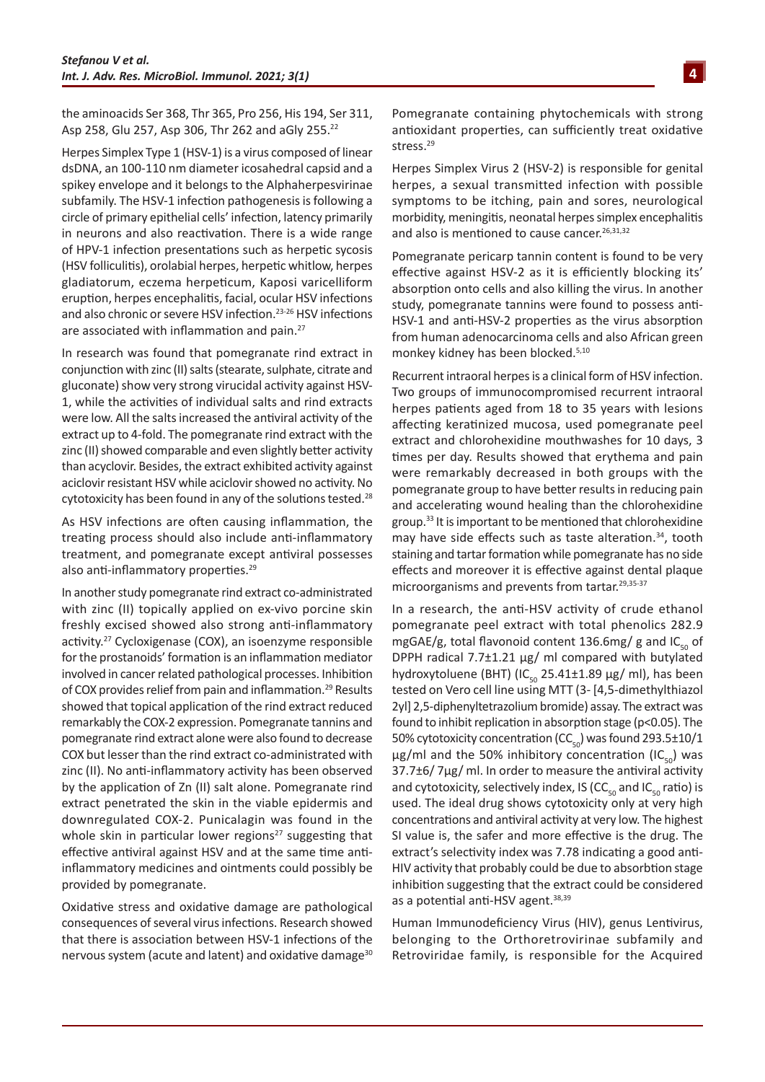the aminoacids Ser 368, Thr 365, Pro 256, His 194, Ser 311, Asp 258, Glu 257, Asp 306, Thr 262 and aGly 255.22

Herpes Simplex Type 1 (HSV-1) is a virus composed of linear dsDNA, an 100-110 nm diameter icosahedral capsid and a spikey envelope and it belongs to the Alphaherpesvirinae subfamily. The HSV-1 infection pathogenesis is following a circle of primary epithelial cells' infection, latency primarily in neurons and also reactivation. There is a wide range of HPV-1 infection presentations such as herpetic sycosis (HSV folliculitis), orolabial herpes, herpetic whitlow, herpes gladiatorum, eczema herpeticum, Kaposi varicelliform eruption, herpes encephalitis, facial, ocular HSV infections and also chronic or severe HSV infection.<sup>23-26</sup> HSV infections are associated with inflammation and pain.<sup>27</sup>

In research was found that pomegranate rind extract in conjunction with zinc (II) salts (stearate, sulphate, citrate and gluconate) show very strong virucidal activity against HSV-1, while the activities of individual salts and rind extracts were low. All the salts increased the antiviral activity of the extract up to 4-fold. The pomegranate rind extract with the zinc (II) showed comparable and even slightly better activity than acyclovir. Besides, the extract exhibited activity against aciclovir resistant HSV while aciclovir showed no activity. No cytotoxicity has been found in any of the solutions tested.<sup>28</sup>

As HSV infections are often causing inflammation, the treating process should also include anti-inflammatory treatment, and pomegranate except antiviral possesses also anti-inflammatory properties.<sup>29</sup>

In another study pomegranate rind extract co-administrated with zinc (II) topically applied on ex-vivo porcine skin freshly excised showed also strong anti-inflammatory activity.27 Cycloxigenase (COX), an isoenzyme responsible for the prostanoids' formation is an inflammation mediator involved in cancer related pathological processes. Inhibition of COX provides relief from pain and inflammation.<sup>29</sup> Results showed that topical application of the rind extract reduced remarkably the COX-2 expression. Pomegranate tannins and pomegranate rind extract alone were also found to decrease COX but lesser than the rind extract co-administrated with zinc (II). No anti-inflammatory activity has been observed by the application of Zn (II) salt alone. Pomegranate rind extract penetrated the skin in the viable epidermis and downregulated COX-2. Punicalagin was found in the whole skin in particular lower regions $27$  suggesting that effective antiviral against HSV and at the same time antiinflammatory medicines and ointments could possibly be provided by pomegranate.

Oxidative stress and oxidative damage are pathological consequences of several virus infections. Research showed that there is association between HSV-1 infections of the nervous system (acute and latent) and oxidative damage<sup>30</sup> Pomegranate containing phytochemicals with strong antioxidant properties, can sufficiently treat oxidative stress.<sup>29</sup>

Herpes Simplex Virus 2 (HSV-2) is responsible for genital herpes, a sexual transmitted infection with possible symptoms to be itching, pain and sores, neurological morbidity, meningitis, neonatal herpes simplex encephalitis and also is mentioned to cause cancer.<sup>26,31,32</sup>

Pomegranate pericarp tannin content is found to be very effective against HSV-2 as it is efficiently blocking its' absorption onto cells and also killing the virus. In another study, pomegranate tannins were found to possess anti-HSV-1 and anti-HSV-2 properties as the virus absorption from human adenocarcinoma cells and also African green monkey kidney has been blocked.5,10

Recurrent intraoral herpes is a clinical form of HSV infection. Two groups of immunocompromised recurrent intraoral herpes patients aged from 18 to 35 years with lesions affecting keratinized mucosa, used pomegranate peel extract and chlorohexidine mouthwashes for 10 days, 3 times per day. Results showed that erythema and pain were remarkably decreased in both groups with the pomegranate group to have better results in reducing pain and accelerating wound healing than the chlorohexidine group.33 It is important to be mentioned that chlorohexidine may have side effects such as taste alteration.<sup>34</sup>, tooth staining and tartar formation while pomegranate has no side effects and moreover it is effective against dental plaque microorganisms and prevents from tartar.29,35-37

In a research, the anti-HSV activity of crude ethanol pomegranate peel extract with total phenolics 282.9 mgGAE/g, total flavonoid content 136.6mg/ g and  $IC_{50}$  of DPPH radical 7.7±1.21 μg/ ml compared with butylated hydroxytoluene (BHT) (IC<sub>50</sub> 25.41±1.89 μg/ ml), has been tested on Vero cell line using MTT (3- [4,5-dimethylthiazol 2yl] 2,5-diphenyltetrazolium bromide) assay. The extract was found to inhibit replication in absorption stage (p<0.05). The 50% cytotoxicity concentration (CC $_{50}$ ) was found 293.5 $\pm$ 10/1 μg/ml and the 50% inhibitory concentration  $(IC_{50})$  was 37.7±6/ 7μg/ ml. In order to measure the antiviral activity and cytotoxicity, selectively index, IS (CC $_{50}$  and IC $_{50}$  ratio) is used. The ideal drug shows cytotoxicity only at very high concentrations and antiviral activity at very low. The highest SI value is, the safer and more effective is the drug. The extract's selectivity index was 7.78 indicating a good anti-HIV activity that probably could be due to absorbtion stage inhibition suggesting that the extract could be considered as a potential anti-HSV agent.<sup>38,39</sup>

Human Immunodeficiency Virus (HIV), genus Lentivirus, belonging to the Orthoretrovirinae subfamily and Retroviridae family, is responsible for the Acquired

**4**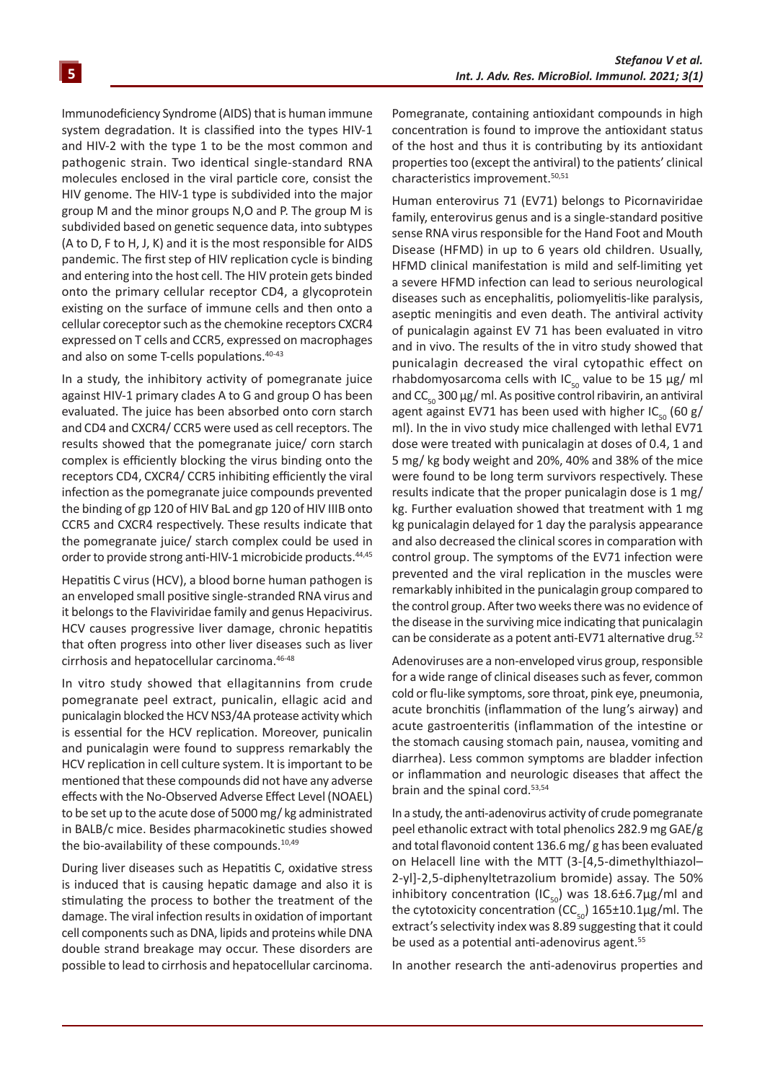Immunodeficiency Syndrome (AIDS) that is human immune system degradation. It is classified into the types HIV-1 and HIV-2 with the type 1 to be the most common and pathogenic strain. Two identical single-standard RNA molecules enclosed in the viral particle core, consist the HIV genome. The HIV-1 type is subdivided into the major group M and the minor groups N,O and P. The group M is subdivided based on genetic sequence data, into subtypes (A to D, F to H, J, K) and it is the most responsible for AIDS pandemic. The first step of HIV replication cycle is binding and entering into the host cell. The HIV protein gets binded onto the primary cellular receptor CD4, a glycoprotein existing on the surface of immune cells and then onto a cellular coreceptor such as the chemokine receptors CXCR4 expressed on T cells and CCR5, expressed on macrophages and also on some T-cells populations. 40-43

In a study, the inhibitory activity of pomegranate juice against HIV-1 primary clades A to G and group O has been evaluated. The juice has been absorbed onto corn starch and CD4 and CXCR4/ CCR5 were used as cell receptors. The results showed that the pomegranate juice/ corn starch complex is efficiently blocking the virus binding onto the receptors CD4, CXCR4/ CCR5 inhibiting efficiently the viral infection as the pomegranate juice compounds prevented the binding of gp 120 of HIV BaL and gp 120 of HIV IIIB onto CCR5 and CXCR4 respectively. These results indicate that the pomegranate juice/ starch complex could be used in order to provide strong anti-HIV-1 microbicide products.<sup>44,45</sup>

Hepatitis C virus (HCV), a blood borne human pathogen is an enveloped small positive single-stranded RNA virus and it belongs to the Flaviviridae family and genus Hepacivirus. HCV causes progressive liver damage, chronic hepatitis that often progress into other liver diseases such as liver cirrhosis and hepatocellular carcinoma.46-48

In vitro study showed that ellagitannins from crude pomegranate peel extract, punicalin, ellagic acid and punicalagin blocked the HCV NS3/4A protease activity which is essential for the HCV replication. Moreover, punicalin and punicalagin were found to suppress remarkably the HCV replication in cell culture system. It is important to be mentioned that these compounds did not have any adverse effects with the No-Observed Adverse Effect Level (NOAEL) to be set up to the acute dose of 5000 mg/ kg administrated in BALB/c mice. Besides pharmacokinetic studies showed the bio-availability of these compounds.<sup>10,49</sup>

During liver diseases such as Hepatitis C, oxidative stress is induced that is causing hepatic damage and also it is stimulating the process to bother the treatment of the damage. The viral infection results in oxidation of important cell components such as DNA, lipids and proteins while DNA double strand breakage may occur. These disorders are possible to lead to cirrhosis and hepatocellular carcinoma.

Pomegranate, containing antioxidant compounds in high concentration is found to improve the antioxidant status of the host and thus it is contributing by its antioxidant properties too (except the antiviral) to the patients' clinical characteristics improvement.<sup>50,51</sup>

Human enterovirus 71 (EV71) belongs to Picornaviridae family, enterovirus genus and is a single-standard positive sense RNA virus responsible for the Hand Foot and Mouth Disease (HFMD) in up to 6 years old children. Usually, HFMD clinical manifestation is mild and self-limiting yet a severe HFMD infection can lead to serious neurological diseases such as encephalitis, poliomyelitis-like paralysis, aseptic meningitis and even death. The antiviral activity of punicalagin against EV 71 has been evaluated in vitro and in vivo. The results of the in vitro study showed that punicalagin decreased the viral cytopathic effect on rhabdomyosarcoma cells with IC<sub>50</sub> value to be 15 μg/ ml and  $CC_{50}$  300 μg/ ml. As positive control ribavirin, an antiviral agent against EV71 has been used with higher IC $_{50}$  (60 g/ ml). In the in vivo study mice challenged with lethal EV71 dose were treated with punicalagin at doses of 0.4, 1 and 5 mg/ kg body weight and 20%, 40% and 38% of the mice were found to be long term survivors respectively. These results indicate that the proper punicalagin dose is 1 mg/ kg. Further evaluation showed that treatment with 1 mg kg punicalagin delayed for 1 day the paralysis appearance and also decreased the clinical scores in comparation with control group. The symptoms of the EV71 infection were prevented and the viral replication in the muscles were remarkably inhibited in the punicalagin group compared to the control group. After two weeks there was no evidence of the disease in the surviving mice indicating that punicalagin can be considerate as a potent anti-EV71 alternative drug.<sup>52</sup>

Adenoviruses are a non-enveloped virus group, responsible for a wide range of clinical diseases such as fever, common cold or flu-like symptoms, sore throat, pink eye, pneumonia, acute bronchitis (inflammation of the lung's airway) and acute gastroenteritis (inflammation of the intestine or the stomach causing stomach pain, nausea, vomiting and diarrhea). Less common symptoms are bladder infection or inflammation and neurologic diseases that affect the brain and the spinal cord.53,54

In a study, the anti-adenovirus activity of crude pomegranate peel ethanolic extract with total phenolics 282.9 mg GAE/g and total flavonoid content 136.6 mg/ g has been evaluated on Helacell line with the MTT (3-[4,5-dimethylthiazol– 2-yl]-2,5-diphenyltetrazolium bromide) assay. The 50% inhibitory concentration  $(IC_{50})$  was 18.6±6.7µg/ml and the cytotoxicity concentration ( $CC_{50}$ ) 165±10.1µg/ml. The extract's selectivity index was 8.89 suggesting that it could be used as a potential anti-adenovirus agent.<sup>55</sup>

In another research the anti-adenovirus properties and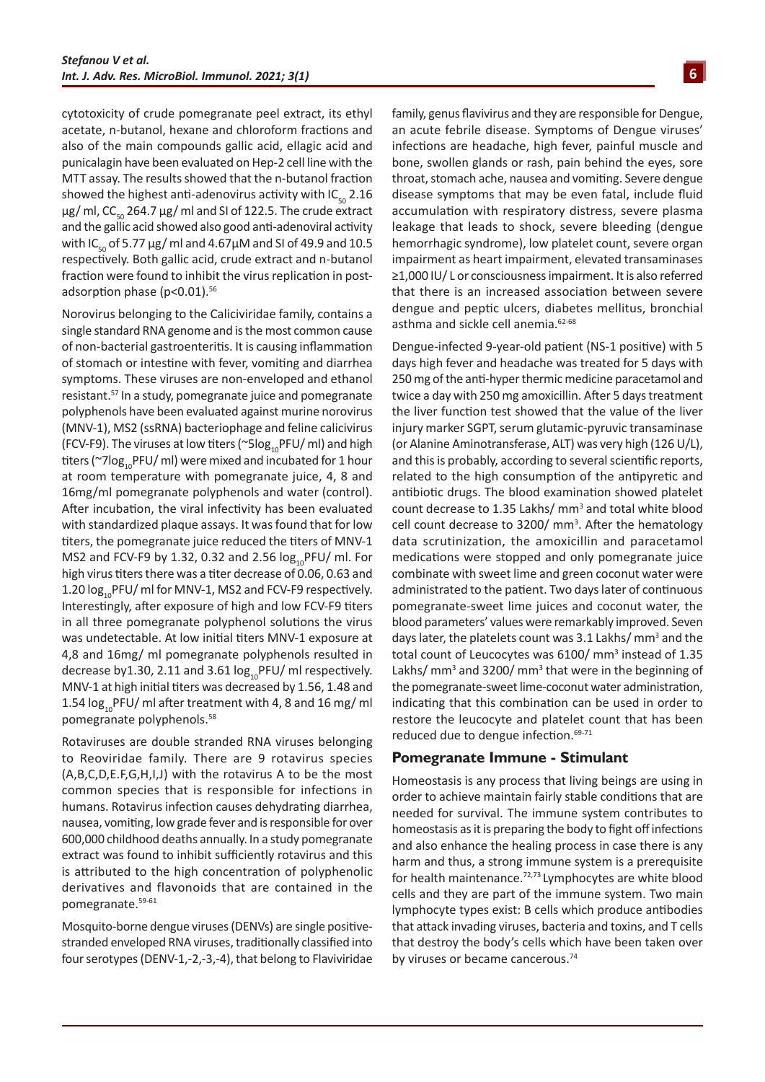cytotoxicity of crude pomegranate peel extract, its ethyl acetate, n-butanol, hexane and chloroform fractions and also of the main compounds gallic acid, ellagic acid and punicalagin have been evaluated on Hep-2 cell line with the MTT assay. The results showed that the n-butanol fraction showed the highest anti-adenovirus activity with  $IC_{50}$  2.16 μg/ ml, CC<sub>50</sub> 264.7 μg/ ml and SI of 122.5. The crude extract and the gallic acid showed also good anti-adenoviral activity with IC<sub>50</sub> of 5.77  $\mu$ g/ ml and 4.67 $\mu$ M and SI of 49.9 and 10.5 respectively. Both gallic acid, crude extract and n-butanol fraction were found to inhibit the virus replication in postadsorption phase (p<0.01).<sup>56</sup>

Norovirus belonging to the Caliciviridae family, contains a single standard RNA genome and is the most common cause of non-bacterial gastroenteritis. It is causing inflammation of stomach or intestine with fever, vomiting and diarrhea symptoms. These viruses are non-enveloped and ethanol resistant.57 In a study, pomegranate juice and pomegranate polyphenols have been evaluated against murine norovirus (MNV-1), MS2 (ssRNA) bacteriophage and feline calicivirus (FCV-F9). The viruses at low titers ( $\sim$ 5log<sub>10</sub>PFU/ ml) and high titers (~7 $log_{10}$ PFU/ ml) were mixed and incubated for 1 hour at room temperature with pomegranate juice, 4, 8 and 16mg/ml pomegranate polyphenols and water (control). After incubation, the viral infectivity has been evaluated with standardized plaque assays. It was found that for low titers, the pomegranate juice reduced the titers of MNV-1 MS2 and FCV-F9 by 1.32, 0.32 and 2.56  $log_{10}$ PFU/ ml. For high virus titers there was a titer decrease of 0.06, 0.63 and 1.20  $log_{10}$ PFU/ ml for MNV-1, MS2 and FCV-F9 respectively. Interestingly, after exposure of high and low FCV-F9 titers in all three pomegranate polyphenol solutions the virus was undetectable. At low initial titers MNV-1 exposure at 4,8 and 16mg/ ml pomegranate polyphenols resulted in decrease by 1.30, 2.11 and 3.61  $log_{10}$ PFU/ ml respectively. MNV-1 at high initial titers was decreased by 1.56, 1.48 and 1.54  $log_{10}$ PFU/ ml after treatment with 4, 8 and 16 mg/ ml pomegranate polyphenols.<sup>58</sup>

Rotaviruses are double stranded RNA viruses belonging to Reoviridae family. There are 9 rotavirus species (A,B,C,D,E.F,G,H,I,J) with the rotavirus A to be the most common species that is responsible for infections in humans. Rotavirus infection causes dehydrating diarrhea, nausea, vomiting, low grade fever and is responsible for over 600,000 childhood deaths annually. In a study pomegranate extract was found to inhibit sufficiently rotavirus and this is attributed to the high concentration of polyphenolic derivatives and flavonoids that are contained in the pomegranate.59-61

Mosquito-borne dengue viruses (DENVs) are single positivestranded enveloped RNA viruses, traditionally classified into four serotypes (DENV-1,-2,-3,-4), that belong to Flaviviridae family, genus flavivirus and they are responsible for Dengue, an acute febrile disease. Symptoms of Dengue viruses' infections are headache, high fever, painful muscle and bone, swollen glands or rash, pain behind the eyes, sore throat, stomach ache, nausea and vomiting. Severe dengue disease symptoms that may be even fatal, include fluid accumulation with respiratory distress, severe plasma leakage that leads to shock, severe bleeding (dengue hemorrhagic syndrome), low platelet count, severe organ impairment as heart impairment, elevated transaminases ≥1,000 IU/ L or consciousness impairment. It is also referred that there is an increased association between severe dengue and peptic ulcers, diabetes mellitus, bronchial asthma and sickle cell anemia.<sup>62-68</sup>

Dengue-infected 9-year-old patient (NS-1 positive) with 5 days high fever and headache was treated for 5 days with 250 mg of the anti-hyper thermic medicine paracetamol and twice a day with 250 mg amoxicillin. After 5 days treatment the liver function test showed that the value of the liver injury marker SGPT, serum glutamic-pyruvic transaminase (or Alanine Aminotransferase, ALT) was very high (126 U/L), and this is probably, according to several scientific reports, related to the high consumption of the antipyretic and antibiotic drugs. The blood examination showed platelet count decrease to 1.35 Lakhs/ mm<sup>3</sup> and total white blood cell count decrease to  $3200/mm<sup>3</sup>$ . After the hematology data scrutinization, the amoxicillin and paracetamol medications were stopped and only pomegranate juice combinate with sweet lime and green coconut water were administrated to the patient. Two days later of continuous pomegranate-sweet lime juices and coconut water, the blood parameters' values were remarkably improved. Seven days later, the platelets count was 3.1 Lakhs/ mm<sup>3</sup> and the total count of Leucocytes was 6100/ mm<sup>3</sup> instead of 1.35 Lakhs/ mm<sup>3</sup> and 3200/ mm<sup>3</sup> that were in the beginning of the pomegranate-sweet lime-coconut water administration, indicating that this combination can be used in order to restore the leucocyte and platelet count that has been reduced due to dengue infection.<sup>69-71</sup>

#### **Pomegranate Immune - Stimulant**

Homeostasis is any process that living beings are using in order to achieve maintain fairly stable conditions that are needed for survival. The immune system contributes to homeostasis as it is preparing the body to fight off infections and also enhance the healing process in case there is any harm and thus, a strong immune system is a prerequisite for health maintenance.72,73 Lymphocytes are white blood cells and they are part of the immune system. Two main lymphocyte types exist: B cells which produce antibodies that attack invading viruses, bacteria and toxins, and T cells that destroy the body's cells which have been taken over by viruses or became cancerous.74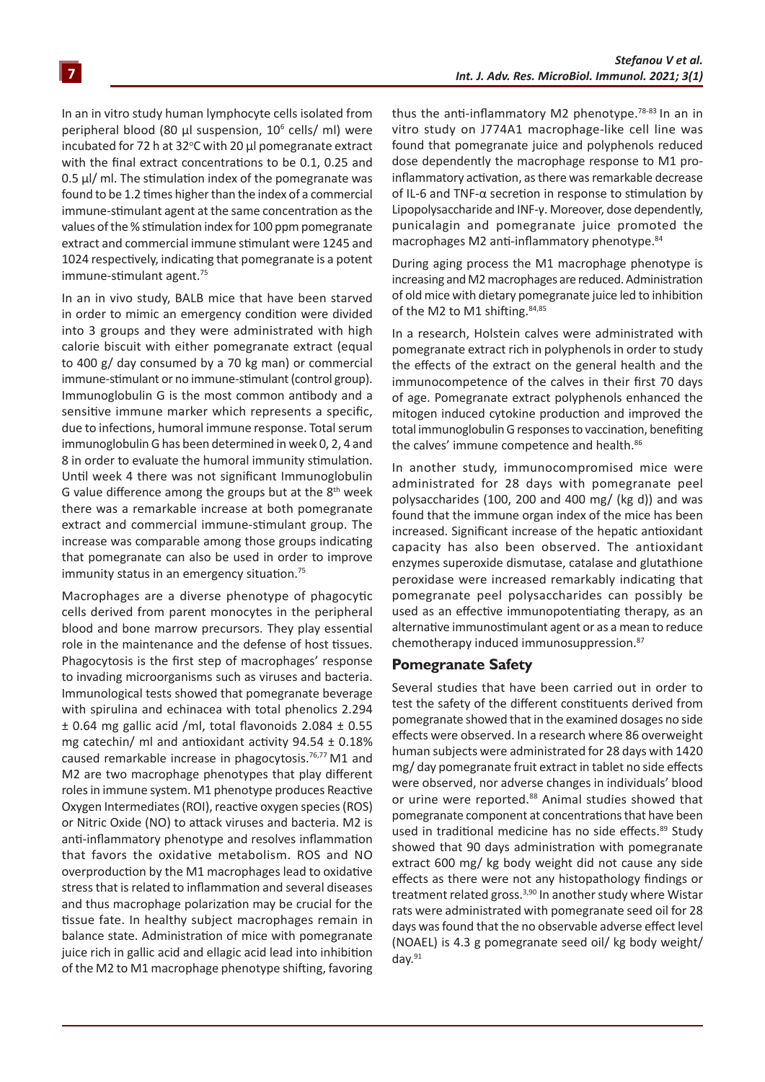In an in vitro study human lymphocyte cells isolated from peripheral blood (80 μl suspension, 10<sup>6</sup> cells/ ml) were incubated for 72 h at 32 $\degree$ C with 20  $\mu$ l pomegranate extract with the final extract concentrations to be 0.1, 0.25 and 0.5 μl/ ml. The stimulation index of the pomegranate was found to be 1.2 times higher than the index of a commercial immune-stimulant agent at the same concentration as the values of the % stimulation index for 100 ppm pomegranate extract and commercial immune stimulant were 1245 and 1024 respectively, indicating that pomegranate is a potent immune-stimulant agent.<sup>75</sup>

In an in vivo study, BALB mice that have been starved in order to mimic an emergency condition were divided into 3 groups and they were administrated with high calorie biscuit with either pomegranate extract (equal to 400 g/ day consumed by a 70 kg man) or commercial immune-stimulant or no immune-stimulant (control group). Immunoglobulin G is the most common antibody and a sensitive immune marker which represents a specific, due to infections, humoral immune response. Total serum immunoglobulin G has been determined in week 0, 2, 4 and 8 in order to evaluate the humoral immunity stimulation. Until week 4 there was not significant Immunoglobulin G value difference among the groups but at the  $8<sup>th</sup>$  week there was a remarkable increase at both pomegranate extract and commercial immune-stimulant group. The increase was comparable among those groups indicating that pomegranate can also be used in order to improve immunity status in an emergency situation.<sup>75</sup>

Macrophages are a diverse phenotype of phagocytic cells derived from parent monocytes in the peripheral blood and bone marrow precursors. They play essential role in the maintenance and the defense of host tissues. Phagocytosis is the first step of macrophages' response to invading microorganisms such as viruses and bacteria. Immunological tests showed that pomegranate beverage with spirulina and echinacea with total phenolics 2.294 ± 0.64 mg gallic acid /ml, total flavonoids 2.084 ± 0.55 mg catechin/ ml and antioxidant activity  $94.54 \pm 0.18\%$ caused remarkable increase in phagocytosis.<sup>76,77</sup> M1 and M2 are two macrophage phenotypes that play different roles in immune system. M1 phenotype produces Reactive Oxygen Intermediates (ROI), reactive oxygen species (ROS) or Nitric Oxide (NO) to attack viruses and bacteria. M2 is anti-inflammatory phenotype and resolves inflammation that favors the oxidative metabolism. ROS and NO overproduction by the M1 macrophages lead to oxidative stress that is related to inflammation and several diseases and thus macrophage polarization may be crucial for the tissue fate. In healthy subject macrophages remain in balance state. Administration of mice with pomegranate juice rich in gallic acid and ellagic acid lead into inhibition of the M2 to M1 macrophage phenotype shifting, favoring thus the anti-inflammatory M2 phenotype.78-83 In an in vitro study on J774A1 macrophage-like cell line was found that pomegranate juice and polyphenols reduced dose dependently the macrophage response to M1 proinflammatory activation, as there was remarkable decrease of IL-6 and TNF-α secretion in response to stimulation by Lipopolysaccharide and INF-γ. Moreover, dose dependently, punicalagin and pomegranate juice promoted the macrophages M2 anti-inflammatory phenotype.<sup>84</sup>

During aging process the M1 macrophage phenotype is increasing and M2 macrophages are reduced. Administration of old mice with dietary pomegranate juice led to inhibition of the M2 to M1 shifting. 84,85

In a research, Holstein calves were administrated with pomegranate extract rich in polyphenols in order to study the effects of the extract on the general health and the immunocompetence of the calves in their first 70 days of age. Pomegranate extract polyphenols enhanced the mitogen induced cytokine production and improved the total immunoglobulin G responses to vaccination, benefiting the calves' immune competence and health.<sup>86</sup>

In another study, immunocompromised mice were administrated for 28 days with pomegranate peel polysaccharides (100, 200 and 400 mg/ (kg d)) and was found that the immune organ index of the mice has been increased. Significant increase of the hepatic antioxidant capacity has also been observed. The antioxidant enzymes superoxide dismutase, catalase and glutathione peroxidase were increased remarkably indicating that pomegranate peel polysaccharides can possibly be used as an effective immunopotentiating therapy, as an alternative immunostimulant agent or as a mean to reduce chemotherapy induced immunosuppression.<sup>87</sup>

#### **Pomegranate Safety**

Several studies that have been carried out in order to test the safety of the different constituents derived from pomegranate showed that in the examined dosages no side effects were observed. In a research where 86 overweight human subjects were administrated for 28 days with 1420 mg/ day pomegranate fruit extract in tablet no side effects were observed, nor adverse changes in individuals' blood or urine were reported.<sup>88</sup> Animal studies showed that pomegranate component at concentrations that have been used in traditional medicine has no side effects.<sup>89</sup> Study showed that 90 days administration with pomegranate extract 600 mg/ kg body weight did not cause any side effects as there were not any histopathology findings or treatment related gross.<sup>3,90</sup> In another study where Wistar rats were administrated with pomegranate seed oil for 28 days was found that the no observable adverse effect level (NOAEL) is 4.3 g pomegranate seed oil/ kg body weight/ day. $91$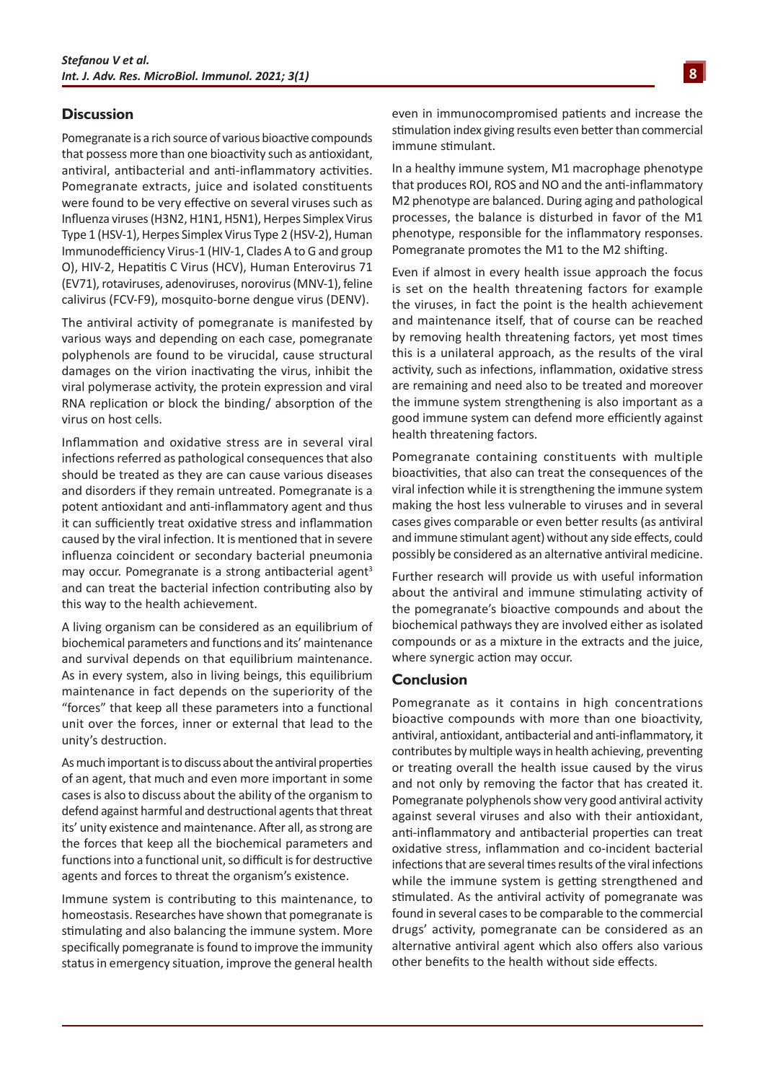#### **Discussion**

Pomegranate is a rich source of various bioactive compounds that possess more than one bioactivity such as antioxidant, antiviral, antibacterial and anti-inflammatory activities. Pomegranate extracts, juice and isolated constituents were found to be very effective on several viruses such as Influenza viruses (H3N2, H1N1, H5N1), Herpes Simplex Virus Type 1 (HSV-1), Herpes Simplex Virus Type 2 (HSV-2), Human Immunodefficiency Virus-1 (HIV-1, Clades A to G and group O), HIV-2, Hepatitis C Virus (HCV), Human Enterovirus 71 (EV71), rotaviruses, adenoviruses, norovirus (MNV-1), feline calivirus (FCV-F9), mosquito-borne dengue virus (DENV).

The antiviral activity of pomegranate is manifested by various ways and depending on each case, pomegranate polyphenols are found to be virucidal, cause structural damages on the virion inactivating the virus, inhibit the viral polymerase activity, the protein expression and viral RNA replication or block the binding/ absorption of the virus on host cells.

Inflammation and oxidative stress are in several viral infections referred as pathological consequences that also should be treated as they are can cause various diseases and disorders if they remain untreated. Pomegranate is a potent antioxidant and anti-inflammatory agent and thus it can sufficiently treat oxidative stress and inflammation caused by the viral infection. It is mentioned that in severe influenza coincident or secondary bacterial pneumonia may occur. Pomegranate is a strong antibacterial agent<sup>3</sup> and can treat the bacterial infection contributing also by this way to the health achievement.

Α living organism can be considered as an equilibrium of biochemical parameters and functions and its' maintenance and survival depends on that equilibrium maintenance. As in every system, also in living beings, this equilibrium maintenance in fact depends on the superiority of the "forces" that keep all these parameters into a functional unit over the forces, inner or external that lead to the unity's destruction.

As much important is to discuss about the antiviral properties of an agent, that much and even more important in some cases is also to discuss about the ability of the organism to defend against harmful and destructional agents that threat its' unity existence and maintenance. After all, as strong are the forces that keep all the biochemical parameters and functions into a functional unit, so difficult is for destructive agents and forces to threat the organism's existence.

Immune system is contributing to this maintenance, to homeostasis. Researches have shown that pomegranate is stimulating and also balancing the immune system. More specifically pomegranate is found to improve the immunity status in emergency situation, improve the general health even in immunocompromised patients and increase the stimulation index giving results even better than commercial immune stimulant.

In a healthy immune system, M1 macrophage phenotype that produces ROI, ROS and NO and the anti-inflammatory M2 phenotype are balanced. During aging and pathological processes, the balance is disturbed in favor of the M1 phenotype, responsible for the inflammatory responses. Pomegranate promotes the M1 to the M2 shifting.

Even if almost in every health issue approach the focus is set on the health threatening factors for example the viruses, in fact the point is the health achievement and maintenance itself, that of course can be reached by removing health threatening factors, yet most times this is a unilateral approach, as the results of the viral activity, such as infections, inflammation, oxidative stress are remaining and need also to be treated and moreover the immune system strengthening is also important as a good immune system can defend more efficiently against health threatening factors.

Pomegranate containing constituents with multiple bioactivities, that also can treat the consequences of the viral infection while it is strengthening the immune system making the host less vulnerable to viruses and in several cases gives comparable or even better results (as antiviral and immune stimulant agent) without any side effects, could possibly be considered as an alternative antiviral medicine.

Further research will provide us with useful information about the antiviral and immune stimulating activity of the pomegranate's bioactive compounds and about the biochemical pathways they are involved either as isolated compounds or as a mixture in the extracts and the juice, where synergic action may occur.

#### **Conclusion**

Pomegranate as it contains in high concentrations bioactive compounds with more than one bioactivity, antiviral, antioxidant, antibacterial and anti-inflammatory, it contributes by multiple ways in health achieving, preventing or treating overall the health issue caused by the virus and not only by removing the factor that has created it. Pomegranate polyphenols show very good antiviral activity against several viruses and also with their antioxidant, anti-inflammatory and antibacterial properties can treat oxidative stress, inflammation and co-incident bacterial infections that are several times results of the viral infections while the immune system is getting strengthened and stimulated. As the antiviral activity of pomegranate was found in several cases to be comparable to the commercial drugs' activity, pomegranate can be considered as an alternative antiviral agent which also offers also various other benefits to the health without side effects.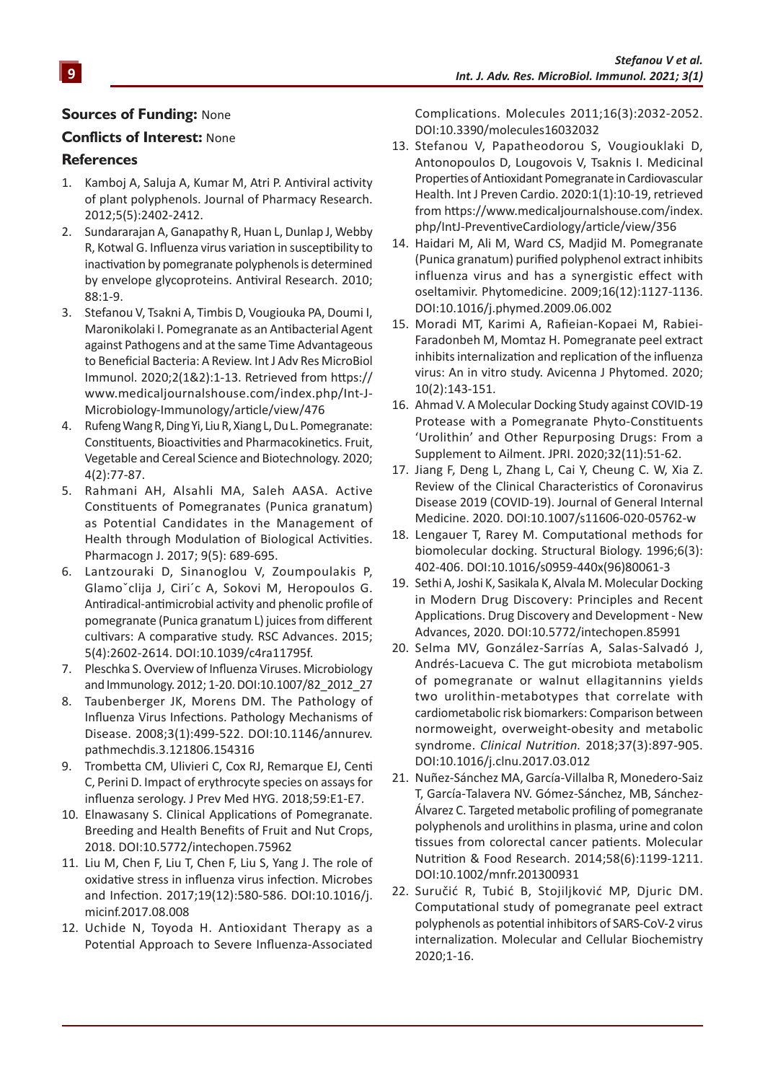#### **Sources of Funding:** None

#### **Conflicts of Interest:** None

#### **References**

- 1. Kamboj A, Saluja A, Kumar M, Atri P. Antiviral activity of plant polyphenols. Journal of Pharmacy Research. 2012;5(5):2402-2412.
- 2. Sundararajan A, Ganapathy R, Huan L, Dunlap J, Webby R, Kotwal G. Influenza virus variation in susceptibility to inactivation by pomegranate polyphenols is determined by envelope glycoproteins. Antiviral Research. 2010; 88:1-9.
- 3. Stefanou V, Tsakni A, Timbis D, Vougiouka PA, Doumi I, Maronikolaki I. Pomegranate as an Antibacterial Agent against Pathogens and at the same Time Advantageous to Beneficial Bacteria: A Review. Int J Adv Res MicroBiol Immunol. 2020;2(1&2):1-13. Retrieved from https:// www.medicaljournalshouse.com/index.php/Int-J-Microbiology-Immunology/article/view/476
- 4. Rufeng Wang R, Ding Yi, Liu R, Xiang L, Du L. Pomegranate: Constituents, Bioactivities and Pharmacokinetics. Fruit, Vegetable and Cereal Science and Biotechnology. 2020; 4(2):77-87.
- 5. Rahmani AH, Alsahli MA, Saleh AASA. Active Constituents of Pomegranates (Punica granatum) as Potential Candidates in the Management of Health through Modulation of Biological Activities. Pharmacogn J. 2017; 9(5): 689-695.
- 6. Lantzouraki D, Sinanoglou V, Zoumpoulakis P, Glamoˇclija J, Ciri´c A, Sokovi M, Heropoulos G. Antiradical-antimicrobial activity and phenolic profile of pomegranate (Punica granatum L) juices from different cultivars: A comparative study. RSC Advances. 2015; 5(4):2602-2614. DOI:10.1039/c4ra11795f.
- 7. Pleschka S. Overview of Influenza Viruses. Microbiology and Immunology. 2012; 1-20. DOI:10.1007/82\_2012\_27
- 8. Taubenberger JK, Morens DM. The Pathology of Influenza Virus Infections. Pathology Mechanisms of Disease. 2008;3(1):499-522. DOI:10.1146/annurev. pathmechdis.3.121806.154316
- 9. Trombetta CM, Ulivieri C, Cox RJ, Remarque EJ, Centi C, Perini D. Impact of erythrocyte species on assays for influenza serology. J Prev Med HYG. 2018;59:E1-E7.
- 10. Elnawasany S. Clinical Applications of Pomegranate. Breeding and Health Benefits of Fruit and Nut Crops, 2018. DOI:10.5772/intechopen.75962
- 11. Liu M, Chen F, Liu T, Chen F, Liu S, Yang J. The role of oxidative stress in influenza virus infection. Microbes and Infection. 2017;19(12):580-586. DOI:10.1016/j. micinf.2017.08.008
- 12. Uchide N, Toyoda H. Antioxidant Therapy as a Potential Approach to Severe Influenza-Associated

Complications. Molecules 2011;16(3):2032-2052. DOI:10.3390/molecules16032032

- 13. Stefanou V, Papatheodorou S, Vougiouklaki D, Antonopoulos D, Lougovois V, Tsaknis I. Medicinal Properties of Antioxidant Pomegranate in Cardiovascular Health. Int J Preven Cardio. 2020:1(1):10-19, retrieved from https://www.medicaljournalshouse.com/index. php/IntJ-PreventiveCardiology/article/view/356
- 14. Haidari M, Ali M, Ward CS, Madjid M. Pomegranate (Punica granatum) purified polyphenol extract inhibits influenza virus and has a synergistic effect with oseltamivir. Phytomedicine. 2009;16(12):1127-1136. DOI:10.1016/j.phymed.2009.06.002
- 15. Moradi MT, Karimi A, Rafieian-Kopaei M, Rabiei-Faradonbeh M, Momtaz H. Pomegranate peel extract inhibits internalization and replication of the influenza virus: An in vitro study. Avicenna J Phytomed. 2020; 10(2):143-151.
- 16. Ahmad V. A Molecular Docking Study against COVID-19 Protease with a Pomegranate Phyto-Constituents 'Urolithin' and Other Repurposing Drugs: From a Supplement to Ailment. JPRI. 2020;32(11):51-62.
- 17. Jiang F, Deng L, Zhang L, Cai Y, Cheung C. W, Xia Z. Review of the Clinical Characteristics of Coronavirus Disease 2019 (COVID-19). Journal of General Internal Medicine. 2020. DOI:10.1007/s11606-020-05762-w
- 18. Lengauer T, Rarey M. Computational methods for biomolecular docking. Structural Biology. 1996;6(3): 402-406. DOI:10.1016/s0959-440x(96)80061-3
- 19. Sethi A, Joshi K, Sasikala K, Alvala M. Molecular Docking in Modern Drug Discovery: Principles and Recent Applications. Drug Discovery and Development - New Advances, 2020. DOI:10.5772/intechopen.85991
- 20. Selma MV, González-Sarrías A, Salas-Salvadó J, Andrés-Lacueva C. The gut microbiota metabolism of pomegranate or walnut ellagitannins yields two urolithin-metabotypes that correlate with cardiometabolic risk biomarkers: Comparison between normoweight, overweight-obesity and metabolic syndrome. *Clinical Nutrition.* 2018;37(3):897-905. DOI:10.1016/j.clnu.2017.03.012
- 21. Nuñez-Sánchez MA, García-Villalba R, Monedero-Saiz T, García-Talavera NV. Gómez-Sánchez, MB, Sánchez-Álvarez C. Targeted metabolic profiling of pomegranate polyphenols and urolithins in plasma, urine and colon tissues from colorectal cancer patients. Molecular Nutrition & Food Research. 2014;58(6):1199-1211. DOI:10.1002/mnfr.201300931
- 22. Suručić R, Tubić B, Stojiljković MP, Djuric DM. Computational study of pomegranate peel extract polyphenols as potential inhibitors of SARS-CoV-2 virus internalization. Molecular and Cellular Biochemistry 2020;1-16.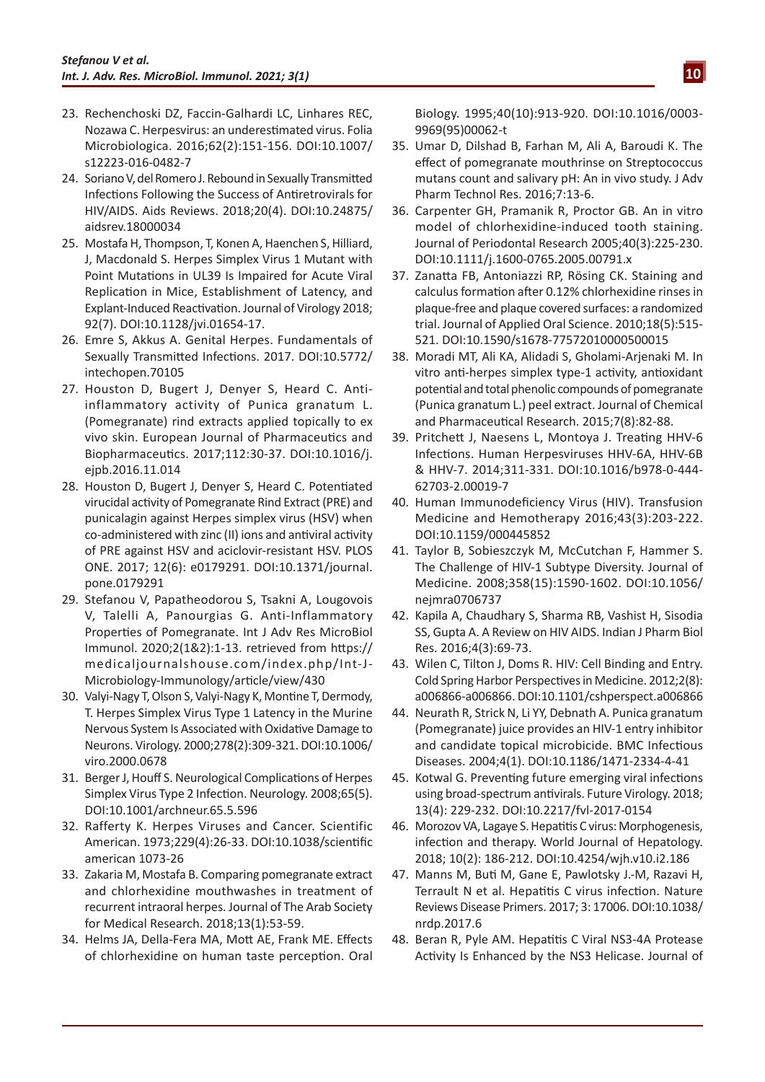- 23. Rechenchoski DZ, Faccin-Galhardi LC, Linhares REC, Nozawa C. Herpesvirus: an underestimated virus. Folia Microbiologica. 2016;62(2):151-156. DOI:10.1007/ s12223-016-0482-7
- 24. Soriano V, del Romero J. Rebound in Sexually Transmitted Infections Following the Success of Antiretrovirals for HIV/AIDS. Aids Reviews. 2018;20(4). DOI:10.24875/ aidsrev.18000034
- 25. Mostafa H, Thompson, T, Konen A, Haenchen S, Hilliard, J, Macdonald S. Herpes Simplex Virus 1 Mutant with Point Mutations in UL39 Is Impaired for Acute Viral Replication in Mice, Establishment of Latency, and Explant-Induced Reactivation. Journal of Virology 2018; 92(7). DOI:10.1128/jvi.01654-17.
- 26. Emre S, Akkus A. Genital Herpes. Fundamentals of Sexually Transmitted Infections. 2017. DOI:10.5772/ intechopen.70105
- 27. Houston D, Bugert J, Denyer S, Heard C. Antiinflammatory activity of Punica granatum L. (Pomegranate) rind extracts applied topically to ex vivo skin. European Journal of Pharmaceutics and Biopharmaceutics. 2017;112:30-37. DOI:10.1016/j. ejpb.2016.11.014
- 28. Houston D, Bugert J, Denyer S, Heard C. Potentiated virucidal activity of Pomegranate Rind Extract (PRE) and punicalagin against Herpes simplex virus (HSV) when co-administered with zinc (II) ions and antiviral activity of PRE against HSV and aciclovir-resistant HSV. PLOS ONE. 2017; 12(6): e0179291. DOI:10.1371/journal. pone.0179291
- 29. Stefanou V, Papatheodorou S, Tsakni A, Lougovois V, Talelli A, Panourgias G. Anti-Inflammatory Properties of Pomegranate. Int J Adv Res MicroBiol Immunol. 2020;2(1&2):1-13. retrieved from https:// medicaljournalshouse.com/index.php/Int-J-Microbiology-Immunology/article/view/430
- 30. Valyi-Nagy T, Olson S, Valyi-Nagy K, Montine T, Dermody, T. Herpes Simplex Virus Type 1 Latency in the Murine Nervous System Is Associated with Oxidative Damage to Neurons. Virology. 2000;278(2):309-321. DOI:10.1006/ viro.2000.0678
- 31. Berger J, Houff S. Neurological Complications of Herpes Simplex Virus Type 2 Infection. Neurology. 2008;65(5). DOI:10.1001/archneur.65.5.596
- 32. Rafferty K. Herpes Viruses and Cancer. Scientific American. 1973;229(4):26-33. DOI:10.1038/scientific american 1073-26
- 33. Zakaria M, Mostafa B. Comparing pomegranate extract and chlorhexidine mouthwashes in treatment of recurrent intraoral herpes. Journal of The Arab Society for Medical Research. 2018;13(1):53-59.
- 34. Helms JA, Della-Fera MA, Mott AE, Frank ME. Effects of chlorhexidine on human taste perception. Oral

Biology. 1995;40(10):913-920. DOI:10.1016/0003- 9969(95)00062-t

- 35. Umar D, Dilshad B, Farhan M, Ali A, Baroudi K. The effect of pomegranate mouthrinse on Streptococcus mutans count and salivary pH: An in vivo study. J Adv Pharm Technol Res. 2016;7:13-6.
- 36. Carpenter GH, Pramanik R, Proctor GB. An in vitro model of chlorhexidine-induced tooth staining. Journal of Periodontal Research 2005;40(3):225-230. DOI:10.1111/j.1600-0765.2005.00791.x
- 37. Zanatta FB, Antoniazzi RP, Rösing CK. Staining and calculus formation after 0.12% chlorhexidine rinses in plaque-free and plaque covered surfaces: a randomized trial. Journal of Applied Oral Science. 2010;18(5):515- 521. DOI:10.1590/s1678-77572010000500015
- 38. Moradi MT, Ali KA, Alidadi S, Gholami-Arjenaki M. In vitro anti-herpes simplex type-1 activity, antioxidant potential and total phenolic compounds of pomegranate (Punica granatum L.) peel extract. Journal of Chemical and Pharmaceutical Research. 2015;7(8):82-88.
- 39. Pritchett J, Naesens L, Montoya J. Treating HHV-6 Infections. Human Herpesviruses HHV-6A, HHV-6B & HHV-7. 2014;311-331. DOI:10.1016/b978-0-444- 62703-2.00019-7
- 40. Human Immunodeficiency Virus (HIV). Transfusion Medicine and Hemotherapy 2016;43(3):203-222. DOI:10.1159/000445852
- 41. Taylor B, Sobieszczyk M, McCutchan F, Hammer S. The Challenge of HIV-1 Subtype Diversity. Journal of Medicine. 2008;358(15):1590-1602. DOI:10.1056/ nejmra0706737
- 42. Kapila A, Chaudhary S, Sharma RB, Vashist H, Sisodia SS, Gupta A. A Review on HIV AIDS. Indian J Pharm Biol Res. 2016;4(3):69-73.
- 43. Wilen C, Tilton J, Doms R. HIV: Cell Binding and Entry. Cold Spring Harbor Perspectives in Medicine. 2012;2(8): a006866-a006866. DOI:10.1101/cshperspect.a006866
- 44. Neurath R, Strick N, Li YY, Debnath A. Punica granatum (Pomegranate) juice provides an HIV-1 entry inhibitor and candidate topical microbicide. BMC Infectious Diseases. 2004;4(1). DOI:10.1186/1471-2334-4-41
- 45. Kotwal G. Preventing future emerging viral infections using broad-spectrum antivirals. Future Virology. 2018; 13(4): 229-232. DOI:10.2217/fvl-2017-0154
- 46. Morozov VA, Lagaye S. Hepatitis C virus: Morphogenesis, infection and therapy. World Journal of Hepatology. 2018; 10(2): 186-212. DOI:10.4254/wjh.v10.i2.186
- 47. Manns M, Buti M, Gane E, Pawlotsky J.-M, Razavi H, Terrault N et al. Hepatitis C virus infection. Nature Reviews Disease Primers. 2017; 3: 17006. DOI:10.1038/ nrdp.2017.6
- 48. Beran R, Pyle AM. Hepatitis C Viral NS3-4A Protease Activity Is Enhanced by the NS3 Helicase. Journal of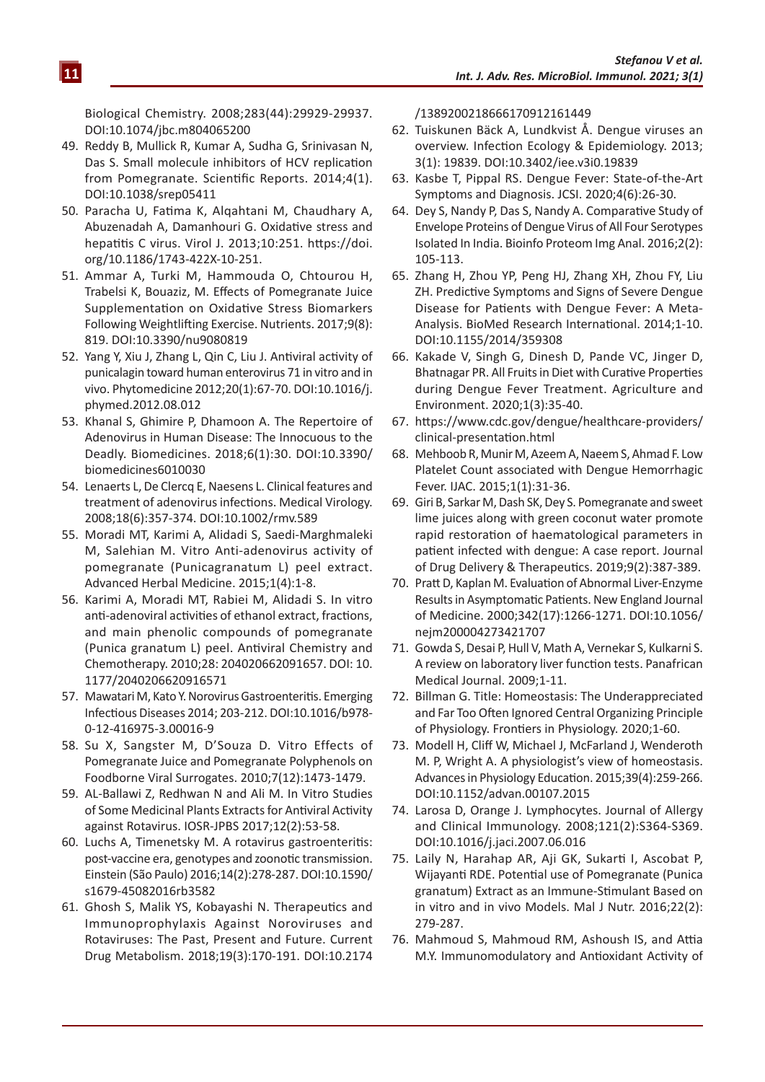Biological Chemistry. 2008;283(44):29929-29937. DOI:10.1074/jbc.m804065200

- 49. Reddy B, Mullick R, Kumar A, Sudha G, Srinivasan N, Das S. Small molecule inhibitors of HCV replication from Pomegranate. Scientific Reports. 2014;4(1). DOI:10.1038/srep05411
- 50. Paracha U, Fatima K, Alqahtani M, Chaudhary A, Abuzenadah A, Damanhouri G. Oxidative stress and hepatitis C virus. Virol J. 2013;10:251. https://doi. org/10.1186/1743-422X-10-251.
- 51. Ammar A, Turki M, Hammouda O, Chtourou H, Trabelsi K, Bouaziz, M. Effects of Pomegranate Juice Supplementation on Oxidative Stress Biomarkers Following Weightlifting Exercise. Nutrients. 2017;9(8): 819. DOI:10.3390/nu9080819
- 52. Yang Y, Xiu J, Zhang L, Qin C, Liu J. Antiviral activity of punicalagin toward human enterovirus 71 in vitro and in vivo. Phytomedicine 2012;20(1):67-70. DOI:10.1016/j. phymed.2012.08.012
- 53. Khanal S, Ghimire P, Dhamoon A. The Repertoire of Adenovirus in Human Disease: The Innocuous to the Deadly. Biomedicines. 2018;6(1):30. DOI:10.3390/ biomedicines6010030
- 54. Lenaerts L, De Clercq E, Naesens L. Clinical features and treatment of adenovirus infections. Medical Virology. 2008;18(6):357-374. DOI:10.1002/rmv.589
- 55. Moradi MT, Karimi A, Alidadi S, Saedi-Marghmaleki M, Salehian M. Vitro Anti-adenovirus activity of pomegranate (Punicagranatum L) peel extract. Advanced Herbal Medicine. 2015;1(4):1-8.
- 56. Karimi A, Moradi MT, Rabiei M, Alidadi S. In vitro anti-adenoviral activities of ethanol extract, fractions, and main phenolic compounds of pomegranate (Punica granatum L) peel. Antiviral Chemistry and Chemotherapy. 2010;28: 204020662091657. DOI: 10. 1177/2040206620916571
- 57. Mawatari M, Kato Y. Norovirus Gastroenteritis. Emerging Infectious Diseases 2014; 203-212. DOI:10.1016/b978- 0-12-416975-3.00016-9
- 58. Su X, Sangster M, D'Souza D. Vitro Effects of Pomegranate Juice and Pomegranate Polyphenols on Foodborne Viral Surrogates. 2010;7(12):1473-1479.
- 59. AL-Ballawi Z, Redhwan N and Ali M. In Vitro Studies of Some Medicinal Plants Extracts for Antiviral Activity against Rotavirus. IOSR-JPBS 2017;12(2):53-58.
- 60. Luchs A, Timenetsky M. A rotavirus gastroenteritis: post-vaccine era, genotypes and zoonotic transmission. Einstein (São Paulo) 2016;14(2):278-287. DOI:10.1590/ s1679-45082016rb3582
- 61. Ghosh S, Malik YS, Kobayashi N. Therapeutics and Immunoprophylaxis Against Noroviruses and Rotaviruses: The Past, Present and Future. Current Drug Metabolism. 2018;19(3):170-191. DOI:10.2174

/1389200218666170912161449

- 62. Tuiskunen Bäck A, Lundkvist Å. Dengue viruses an overview. Infection Ecology & Epidemiology. 2013; 3(1): 19839. DOI:10.3402/iee.v3i0.19839
- 63. Kasbe T, Pippal RS. Dengue Fever: State-of-the-Art Symptoms and Diagnosis. JCSI. 2020;4(6):26-30.
- 64. Dey S, Nandy P, Das S, Nandy A. Comparative Study of Envelope Proteins of Dengue Virus of All Four Serotypes Isolated In India. Bioinfo Proteom Img Anal. 2016;2(2): 105-113.
- 65. Zhang H, Zhou YP, Peng HJ, Zhang XH, Zhou FY, Liu ZH. Predictive Symptoms and Signs of Severe Dengue Disease for Patients with Dengue Fever: A Meta-Analysis. BioMed Research International. 2014;1-10. DOI:10.1155/2014/359308
- 66. Kakade V, Singh G, Dinesh D, Pande VC, Jinger D, Bhatnagar PR. All Fruits in Diet with Curative Properties during Dengue Fever Treatment. Agriculture and Environment. 2020;1(3):35-40.
- 67. https://www.cdc.gov/dengue/healthcare-providers/ clinical-presentation.html
- 68. Mehboob R, Munir M, Azeem A, Naeem S, Ahmad F. Low Platelet Count associated with Dengue Hemorrhagic Fever. IJAC. 2015;1(1):31-36.
- 69. Giri B, Sarkar M, Dash SK, Dey S. Pomegranate and sweet lime juices along with green coconut water promote rapid restoration of haematological parameters in patient infected with dengue: A case report. Journal of Drug Delivery & Therapeutics. 2019;9(2):387-389.
- 70. Pratt D, Kaplan M. Evaluation of Abnormal Liver-Enzyme Results in Asymptomatic Patients. New England Journal of Medicine. 2000;342(17):1266-1271. DOI:10.1056/ nejm200004273421707
- 71. Gowda S, Desai P, Hull V, Math A, Vernekar S, Kulkarni S. A review on laboratory liver function tests. Panafrican Medical Journal. 2009;1-11.
- 72. Billman G. Title: Homeostasis: The Underappreciated and Far Too Often Ignored Central Organizing Principle of Physiology. Frontiers in Physiology. 2020;1-60.
- 73. Modell H, Cliff W, Michael J, McFarland J, Wenderoth M. P, Wright A. A physiologist's view of homeostasis. Advances in Physiology Education. 2015;39(4):259-266. DOI:10.1152/advan.00107.2015
- 74. Larosa D, Orange J. Lymphocytes. Journal of Allergy and Clinical Immunology. 2008;121(2):S364-S369. DOI:10.1016/j.jaci.2007.06.016
- 75. Laily N, Harahap AR, Aji GK, Sukarti I, Ascobat P, Wijayanti RDE. Potential use of Pomegranate (Punica granatum) Extract as an Immune-Stimulant Based on in vitro and in vivo Models. Mal J Nutr. 2016;22(2): 279-287.
- 76. Mahmoud S, Mahmoud RM, Ashoush IS, and Attia M.Y. Immunomodulatory and Antioxidant Activity of